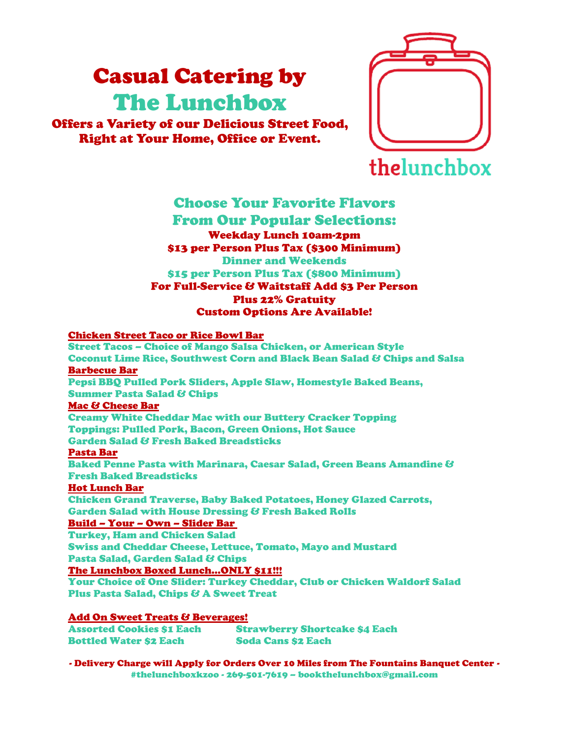# Casual Catering by The Lunchbox

Offers a Variety of our Delicious Street Food, Right at Your Home, Office or Event.



#### Choose Your Favorite Flavors From Our Popular Selections: Weekday Lunch 10am-2pm \$13 per Person Plus Tax (\$300 Minimum) Dinner and Weekends \$15 per Person Plus Tax (\$800 Minimum) For Full-Service & Waitstaff Add \$3 Per Person Plus 22% Gratuity Custom Options Are Available!

#### Chicken Street Taco or Rice Bowl Bar

Street Tacos – Choice of Mango Salsa Chicken, or American Style Coconut Lime Rice, Southwest Corn and Black Bean Salad & Chips and Salsa Barbecue Bar Pepsi BBQ Pulled Pork Sliders, Apple Slaw, Homestyle Baked Beans, **Summer Pasta Salad & Chips** Mac & Cheese Bar Creamy White Cheddar Mac with our Buttery Cracker Topping Toppings: Pulled Pork, Bacon, Green Onions, Hot Sauce Garden Salad & Fresh Baked Breadsticks Pasta Bar Baked Penne Pasta with Marinara, Caesar Salad, Green Beans Amandine & Fresh Baked Breadsticks Hot Lunch Bar Chicken Grand Traverse, Baby Baked Potatoes, Honey Glazed Carrots, Garden Salad with House Dressing & Fresh Baked Rolls Build – Your – Own – Slider Bar Turkey, Ham and Chicken Salad Swiss and Cheddar Cheese, Lettuce, Tomato, Mayo and Mustard Pasta Salad, Garden Salad & Chips

The Lunchbox Boxed Lunch…ONLY \$11!!!

Your Choice of One Slider: Turkey Cheddar, Club or Chicken Waldorf Salad Plus Pasta Salad, Chips & A Sweet Treat

#### Add On Sweet Treats & Beverages!

| <b>Assorted Cookies \$1 Each</b> | <b>Strawberry Shortcake \$4 Each</b> |
|----------------------------------|--------------------------------------|
| <b>Bottled Water \$2 Each</b>    | <b>Soda Cans \$2 Each</b>            |

- Delivery Charge will Apply for Orders Over 10 Miles from The Fountains Banquet Center - #thelunchboxkzoo - 269-501-7619 – bookthelunchbox@gmail.com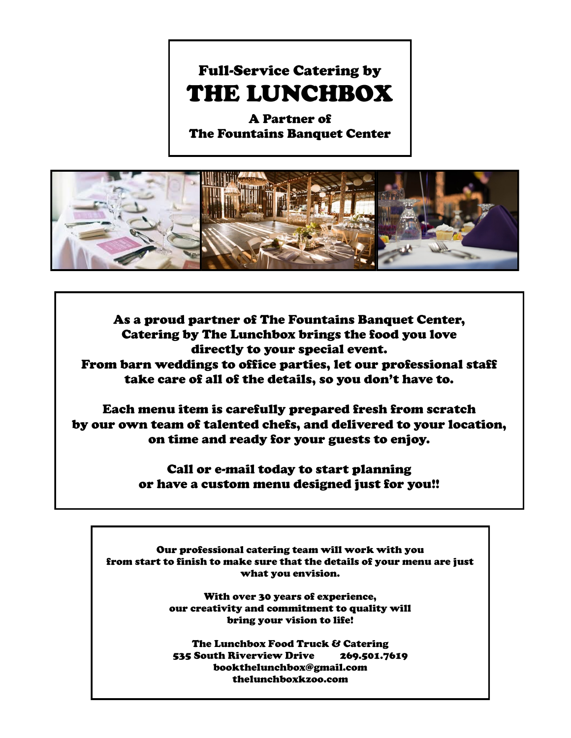A Partner of The Fountains Banquet Center



As a proud partner of The Fountains Banquet Center, Catering by The Lunchbox brings the food you love directly to your special event. From barn weddings to office parties, let our professional staff take care of all of the details, so you don't have to.

Each menu item is carefully prepared fresh from scratch by our own team of talented chefs, and delivered to your location, on time and ready for your guests to enjoy.

> Call or e-mail today to start planning or have a custom menu designed just for you!!

Our professional catering team will work with you from start to finish to make sure that the details of your menu are just what you envision.

> With over 30 years of experience, our creativity and commitment to quality will bring your vision to life!

The Lunchbox Food Truck & Catering 535 South Riverview Drive 269.501.7619 bookthelunchbox@gmail.com thelunchboxkzoo.com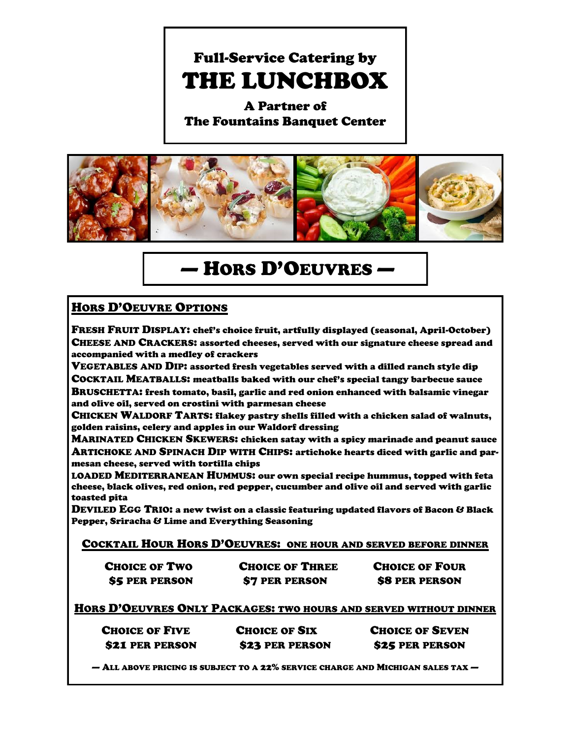A Partner of The Fountains Banquet Center



### — HORS D'OEUVRES —

### HORS D'OEUVRE OPTIONS

FRESH FRUIT DISPLAY: chef's choice fruit, artfully displayed (seasonal, April-October) CHEESE AND CRACKERS: assorted cheeses, served with our signature cheese spread and accompanied with a medley of crackers

VEGETABLES AND DIP: assorted fresh vegetables served with a dilled ranch style dip

COCKTAIL MEATBALLS: meatballs baked with our chef's special tangy barbecue sauce BRUSCHETTA: fresh tomato, basil, garlic and red onion enhanced with balsamic vinegar and olive oil, served on crostini with parmesan cheese

CHICKEN WALDORF TARTS: flakey pastry shells filled with a chicken salad of walnuts, golden raisins, celery and apples in our Waldorf dressing

MARINATED CHICKEN SKEWERS: chicken satay with a spicy marinade and peanut sauce ARTICHOKE AND SPINACH DIP WITH CHIPS: artichoke hearts diced with garlic and parmesan cheese, served with tortilla chips

LOADED MEDITERRANEAN HUMMUS: our own special recipe hummus, topped with feta cheese, black olives, red onion, red pepper, cucumber and olive oil and served with garlic toasted pita

DEVILED EGG TRIO: a new twist on a classic featuring updated flavors of Bacon & Black Pepper, Sriracha & Lime and Everything Seasoning

COCKTAIL HOUR HORS D'OEUVRES: ONE HOUR AND SERVED BEFORE DINNER

| <b>CHOICE OF TWO</b>  | <b>CHOICE OF THREE</b> | <b>CHOICE OF FOUR</b> |
|-----------------------|------------------------|-----------------------|
| <b>\$5 PER PERSON</b> | \$7 PER PERSON         | <b>\$8 PER PERSON</b> |

HORS D'OEUVRES ONLY PACKAGES: TWO HOURS AND SERVED WITHOUT DINNER

| <b>CHOICE OF FIVE</b> | <b>CHOICE OF SIX</b> | <b>CHOICE OF SEVEN</b> |
|-----------------------|----------------------|------------------------|
| \$21 PER PERSON       | \$23 PER PERSON      | <b>\$25 PER PERSON</b> |

— ALL ABOVE PRICING IS SUBJECT TO A 22% SERVICE CHARGE AND MICHIGAN SALES TAX —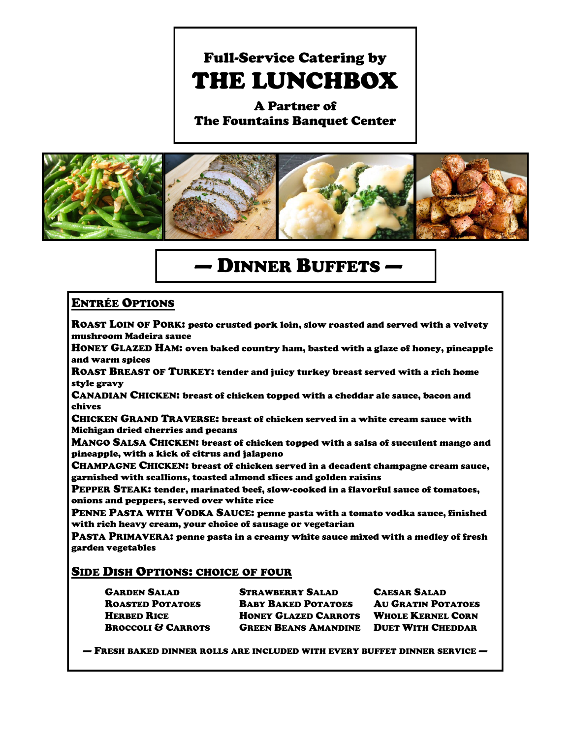A Partner of The Fountains Banquet Center



### — DINNER BUFFETS —

### ENTRÉE OPTIONS

ROAST LOIN OF PORK: pesto crusted pork loin, slow roasted and served with a velvety mushroom Madeira sauce

HONEY GLAZED HAM: oven baked country ham, basted with a glaze of honey, pineapple and warm spices

ROAST BREAST OF TURKEY: tender and juicy turkey breast served with a rich home style gravy

CANADIAN CHICKEN: breast of chicken topped with a cheddar ale sauce, bacon and chives

CHICKEN GRAND TRAVERSE: breast of chicken served in a white cream sauce with Michigan dried cherries and pecans

MANGO SALSA CHICKEN: breast of chicken topped with a salsa of succulent mango and pineapple, with a kick of citrus and jalapeno

CHAMPAGNE CHICKEN: breast of chicken served in a decadent champagne cream sauce, garnished with scallions, toasted almond slices and golden raisins

PEPPER STEAK: tender, marinated beef, slow-cooked in a flavorful sauce of tomatoes, onions and peppers, served over white rice

PENNE PASTA WITH VODKA SAUCE: penne pasta with a tomato vodka sauce, finished with rich heavy cream, your choice of sausage or vegetarian

PASTA PRIMAVERA: penne pasta in a creamy white sauce mixed with a medley of fresh garden vegetables

#### SIDE DISH OPTIONS: CHOICE OF FOUR

| <b>GARDEN SALAD</b>           | <b>STRAWBERRY SALAD</b>   |
|-------------------------------|---------------------------|
| <b>ROASTED POTATOES</b>       | <b>BABY BAKED POTATOE</b> |
| <b>HERBED RICE</b>            | <b>HONEY GLAZED CARRO</b> |
| <b>BROCCOLI &amp; CARROTS</b> | <b>GREEN BEANS AMANDI</b> |
|                               |                           |

**CAESAR SALAD** ES AU GRATIN POTATOES **HEREBED RICE WHOLE KERNEL CORN** INE DUET WITH CHEDDAR

— FRESH BAKED DINNER ROLLS ARE INCLUDED WITH EVERY BUFFET DINNER SERVICE —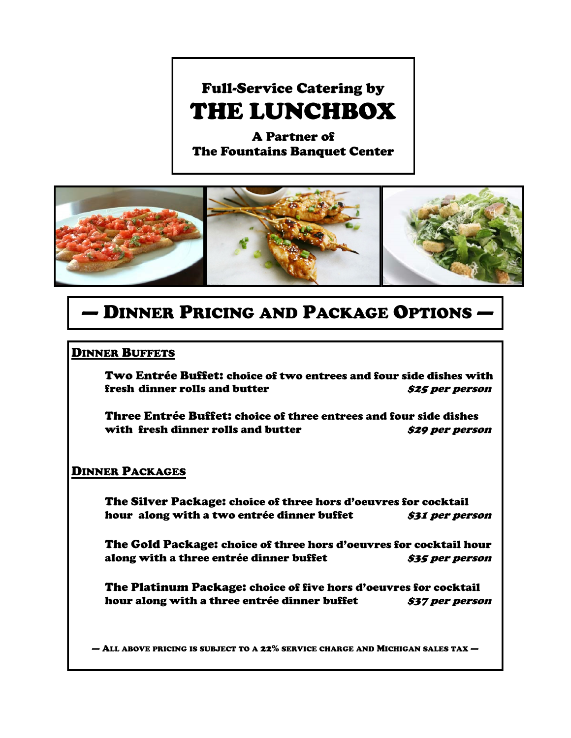A Partner of The Fountains Banquet Center



### — DINNER PRICING AND PACKAGE OPTIONS —

#### DINNER BUFFETS

Two Entrée Buffet: choice of two entrees and four side dishes with fresh dinner rolls and butter **\$25 per person** 

Three Entrée Buffet: choice of three entrees and four side dishes with fresh dinner rolls and butter **\$29 per person** 

#### DINNER PACKAGES

The Silver Package: choice of three hors d'oeuvres for cocktail hour along with a two entrée dinner buffet **\$31** *per person* 

The Gold Package: choice of three hors d'oeuvres for cocktail hour along with a three entrée dinner buffet **\$35** *per person* 

The Platinum Package: choice of five hors d'oeuvres for cocktail hour along with a three entrée dinner buffet **\$37 per person** 

 $-$  All above pricing is subject to a 22% service charge and Michigan sales tax  $-$